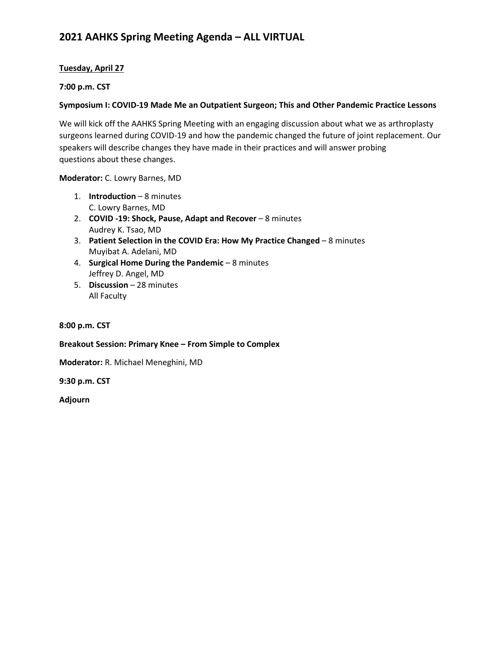# **2021 AAHKS Spring Meeting Agenda – ALL VIRTUAL**

# **Tuesday, April 27**

#### **7:00 p.m. CST**

#### **Symposium I: COVID-19 Made Me an Outpatient Surgeon; This and Other Pandemic Practice Lessons**

We will kick off the AAHKS Spring Meeting with an engaging discussion about what we as arthroplasty surgeons learned during COVID-19 and how the pandemic changed the future of joint replacement. Our speakers will describe changes they have made in their practices and will answer probing questions about these changes.

**Moderator:** C. Lowry Barnes, MD

- 1. **Introduction**  8 minutes C. Lowry Barnes, MD
- 2. **COVID -19: Shock, Pause, Adapt and Recover**  8 minutes Audrey K. Tsao, MD
- 3. **Patient Selection in the COVID Era: How My Practice Changed**  8 minutes Muyibat A. Adelani, MD
- 4. **Surgical Home During the Pandemic**  8 minutes Jeffrey D. Angel, MD
- 5. **Discussion**  28 minutes All Faculty

#### **8:00 p.m. CST**

**Breakout Session: Primary Knee – From Simple to Complex**

**Moderator:** R. Michael Meneghini, MD

**9:30 p.m. CST** 

**Adjourn**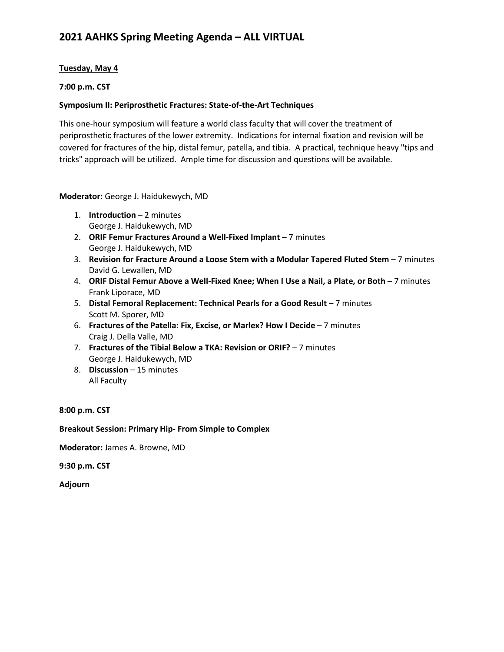# **Tuesday, May 4**

### **7:00 p.m. CST**

### **Symposium II: Periprosthetic Fractures: State-of-the-Art Techniques**

This one-hour symposium will feature a world class faculty that will cover the treatment of periprosthetic fractures of the lower extremity. Indications for internal fixation and revision will be covered for fractures of the hip, distal femur, patella, and tibia. A practical, technique heavy "tips and tricks" approach will be utilized. Ample time for discussion and questions will be available.

### **Moderator:** George J. Haidukewych, MD

- 1. **Introduction**  2 minutes George J. Haidukewych, MD
- 2. **ORIF Femur Fractures Around a Well-Fixed Implant** 7 minutes George J. Haidukewych, MD
- 3. **Revision for Fracture Around a Loose Stem with a Modular Tapered Fluted Stem**  7 minutes David G. Lewallen, MD
- 4. **ORIF Distal Femur Above a Well-Fixed Knee; When I Use a Nail, a Plate, or Both** 7 minutes Frank Liporace, MD
- 5. **Distal Femoral Replacement: Technical Pearls for a Good Result** 7 minutes Scott M. Sporer, MD
- 6. **Fractures of the Patella: Fix, Excise, or Marlex? How I Decide**  7 minutes Craig J. Della Valle, MD
- 7. **Fractures of the Tibial Below a TKA: Revision or ORIF?** 7 minutes George J. Haidukewych, MD
- 8. **Discussion**  15 minutes All Faculty

**8:00 p.m. CST**

#### **Breakout Session: Primary Hip- From Simple to Complex**

**Moderator:** James A. Browne, MD

**9:30 p.m. CST** 

**Adjourn**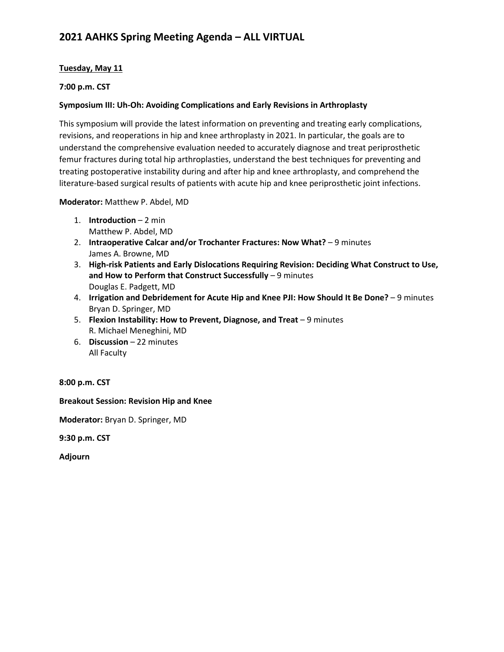# **Tuesday, May 11**

### **7:00 p.m. CST**

### **Symposium III: Uh-Oh: Avoiding Complications and Early Revisions in Arthroplasty**

This symposium will provide the latest information on preventing and treating early complications, revisions, and reoperations in hip and knee arthroplasty in 2021. In particular, the goals are to understand the comprehensive evaluation needed to accurately diagnose and treat periprosthetic femur fractures during total hip arthroplasties, understand the best techniques for preventing and treating postoperative instability during and after hip and knee arthroplasty, and comprehend the literature-based surgical results of patients with acute hip and knee periprosthetic joint infections.

#### **Moderator:** Matthew P. Abdel, MD

- 1. **Introduction**  2 min Matthew P. Abdel, MD
- 2. **Intraoperative Calcar and/or Trochanter Fractures: Now What?**  9 minutes James A. Browne, MD
- 3. **High-risk Patients and Early Dislocations Requiring Revision: Deciding What Construct to Use,**  and How to Perform that Construct Successfully - 9 minutes Douglas E. Padgett, MD
- 4. **Irrigation and Debridement for Acute Hip and Knee PJI: How Should It Be Done?**  9 minutes Bryan D. Springer, MD
- 5. **Flexion Instability: How to Prevent, Diagnose, and Treat** 9 minutes R. Michael Meneghini, MD
- 6. **Discussion**  22 minutes All Faculty

**8:00 p.m. CST**

**Breakout Session: Revision Hip and Knee**

**Moderator:** Bryan D. Springer, MD

**9:30 p.m. CST** 

**Adjourn**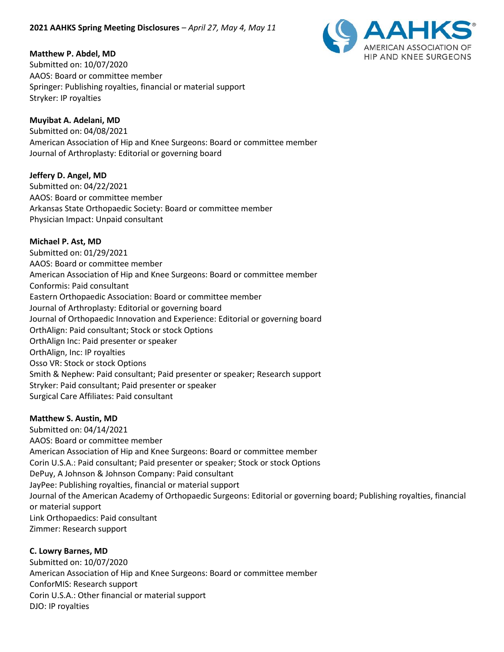

# **Matthew P. Abdel, MD**

Submitted on: 10/07/2020 AAOS: Board or committee member Springer: Publishing royalties, financial or material support Stryker: IP royalties

### **Muyibat A. Adelani, MD**

Submitted on: 04/08/2021 American Association of Hip and Knee Surgeons: Board or committee member Journal of Arthroplasty: Editorial or governing board

### **Jeffery D. Angel, MD**

Submitted on: 04/22/2021 AAOS: Board or committee member Arkansas State Orthopaedic Society: Board or committee member Physician Impact: Unpaid consultant

### **Michael P. Ast, MD**

Submitted on: 01/29/2021 AAOS: Board or committee member American Association of Hip and Knee Surgeons: Board or committee member Conformis: Paid consultant Eastern Orthopaedic Association: Board or committee member Journal of Arthroplasty: Editorial or governing board Journal of Orthopaedic Innovation and Experience: Editorial or governing board OrthAlign: Paid consultant; Stock or stock Options OrthAlign Inc: Paid presenter or speaker OrthAlign, Inc: IP royalties Osso VR: Stock or stock Options Smith & Nephew: Paid consultant; Paid presenter or speaker; Research support Stryker: Paid consultant; Paid presenter or speaker Surgical Care Affiliates: Paid consultant

#### **Matthew S. Austin, MD**

Submitted on: 04/14/2021 AAOS: Board or committee member American Association of Hip and Knee Surgeons: Board or committee member Corin U.S.A.: Paid consultant; Paid presenter or speaker; Stock or stock Options DePuy, A Johnson & Johnson Company: Paid consultant JayPee: Publishing royalties, financial or material support Journal of the American Academy of Orthopaedic Surgeons: Editorial or governing board; Publishing royalties, financial or material support Link Orthopaedics: Paid consultant Zimmer: Research support

**C. Lowry Barnes, MD** Submitted on: 10/07/2020 American Association of Hip and Knee Surgeons: Board or committee member ConforMIS: Research support Corin U.S.A.: Other financial or material support DJO: IP royalties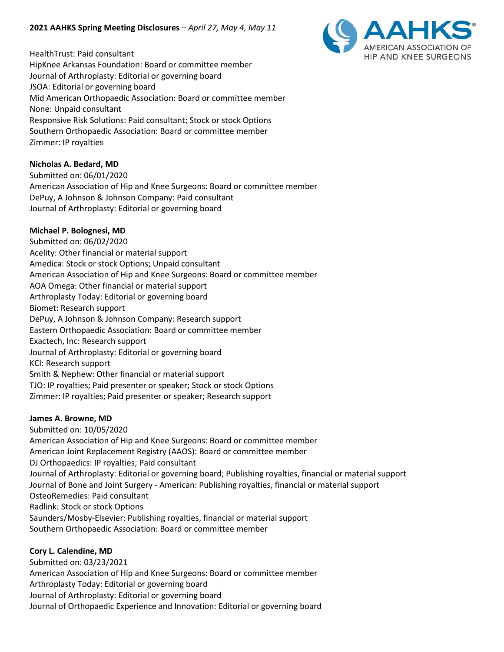HealthTrust: Paid consultant HipKnee Arkansas Foundation: Board or committee member Journal of Arthroplasty: Editorial or governing board JSOA: Editorial or governing board Mid American Orthopaedic Association: Board or committee member None: Unpaid consultant Responsive Risk Solutions: Paid consultant; Stock or stock Options Southern Orthopaedic Association: Board or committee member Zimmer: IP royalties

### **Nicholas A. Bedard, MD**

Submitted on: 06/01/2020 American Association of Hip and Knee Surgeons: Board or committee member DePuy, A Johnson & Johnson Company: Paid consultant Journal of Arthroplasty: Editorial or governing board

### **Michael P. Bolognesi, MD**

Submitted on: 06/02/2020 Acelity: Other financial or material support Amedica: Stock or stock Options; Unpaid consultant American Association of Hip and Knee Surgeons: Board or committee member AOA Omega: Other financial or material support Arthroplasty Today: Editorial or governing board Biomet: Research support DePuy, A Johnson & Johnson Company: Research support Eastern Orthopaedic Association: Board or committee member Exactech, Inc: Research support Journal of Arthroplasty: Editorial or governing board KCI: Research support Smith & Nephew: Other financial or material support TJO: IP royalties; Paid presenter or speaker; Stock or stock Options Zimmer: IP royalties; Paid presenter or speaker; Research support

#### **James A. Browne, MD**

Submitted on: 10/05/2020 American Association of Hip and Knee Surgeons: Board or committee member American Joint Replacement Registry (AAOS): Board or committee member DJ Orthopaedics: IP royalties; Paid consultant Journal of Arthroplasty: Editorial or governing board; Publishing royalties, financial or material support Journal of Bone and Joint Surgery - American: Publishing royalties, financial or material support OsteoRemedies: Paid consultant Radlink: Stock or stock Options Saunders/Mosby-Elsevier: Publishing royalties, financial or material support Southern Orthopaedic Association: Board or committee member

#### **Cory L. Calendine, MD**

Submitted on: 03/23/2021 American Association of Hip and Knee Surgeons: Board or committee member Arthroplasty Today: Editorial or governing board Journal of Arthroplasty: Editorial or governing board Journal of Orthopaedic Experience and Innovation: Editorial or governing board

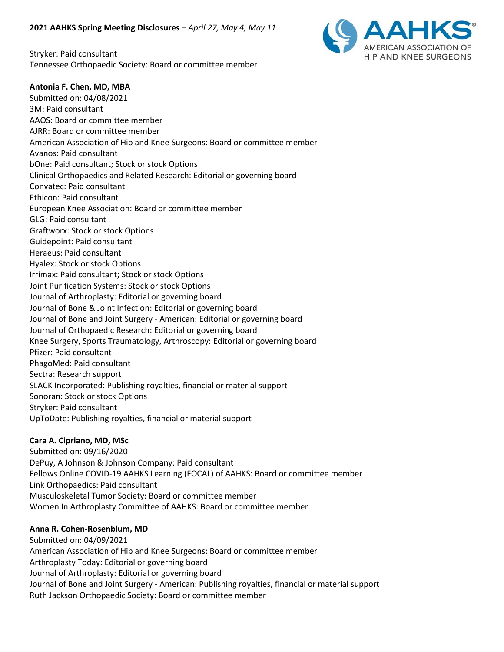Stryker: Paid consultant Tennessee Orthopaedic Society: Board or committee member



#### **Antonia F. Chen, MD, MBA**

Submitted on: 04/08/2021 3M: Paid consultant AAOS: Board or committee member AJRR: Board or committee member American Association of Hip and Knee Surgeons: Board or committee member Avanos: Paid consultant bOne: Paid consultant; Stock or stock Options Clinical Orthopaedics and Related Research: Editorial or governing board Convatec: Paid consultant Ethicon: Paid consultant European Knee Association: Board or committee member GLG: Paid consultant Graftworx: Stock or stock Options Guidepoint: Paid consultant Heraeus: Paid consultant Hyalex: Stock or stock Options Irrimax: Paid consultant; Stock or stock Options Joint Purification Systems: Stock or stock Options Journal of Arthroplasty: Editorial or governing board Journal of Bone & Joint Infection: Editorial or governing board Journal of Bone and Joint Surgery - American: Editorial or governing board Journal of Orthopaedic Research: Editorial or governing board Knee Surgery, Sports Traumatology, Arthroscopy: Editorial or governing board Pfizer: Paid consultant PhagoMed: Paid consultant Sectra: Research support SLACK Incorporated: Publishing royalties, financial or material support Sonoran: Stock or stock Options Stryker: Paid consultant UpToDate: Publishing royalties, financial or material support

#### **Cara A. Cipriano, MD, MSc**

Submitted on: 09/16/2020 DePuy, A Johnson & Johnson Company: Paid consultant Fellows Online COVID-19 AAHKS Learning (FOCAL) of AAHKS: Board or committee member Link Orthopaedics: Paid consultant Musculoskeletal Tumor Society: Board or committee member Women In Arthroplasty Committee of AAHKS: Board or committee member

# **Anna R. Cohen-Rosenblum, MD**

Submitted on: 04/09/2021 American Association of Hip and Knee Surgeons: Board or committee member Arthroplasty Today: Editorial or governing board Journal of Arthroplasty: Editorial or governing board Journal of Bone and Joint Surgery - American: Publishing royalties, financial or material support Ruth Jackson Orthopaedic Society: Board or committee member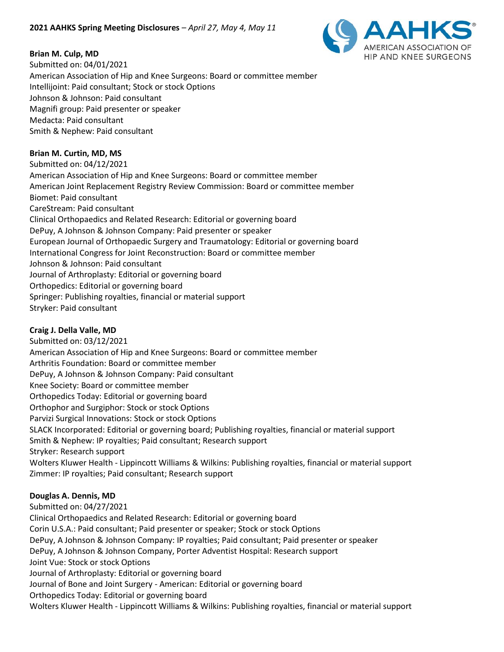

### **Brian M. Culp, MD**

Submitted on: 04/01/2021 American Association of Hip and Knee Surgeons: Board or committee member Intellijoint: Paid consultant; Stock or stock Options Johnson & Johnson: Paid consultant Magnifi group: Paid presenter or speaker Medacta: Paid consultant Smith & Nephew: Paid consultant

### **Brian M. Curtin, MD, MS**

Submitted on: 04/12/2021 American Association of Hip and Knee Surgeons: Board or committee member American Joint Replacement Registry Review Commission: Board or committee member Biomet: Paid consultant CareStream: Paid consultant Clinical Orthopaedics and Related Research: Editorial or governing board DePuy, A Johnson & Johnson Company: Paid presenter or speaker European Journal of Orthopaedic Surgery and Traumatology: Editorial or governing board International Congress for Joint Reconstruction: Board or committee member Johnson & Johnson: Paid consultant Journal of Arthroplasty: Editorial or governing board Orthopedics: Editorial or governing board Springer: Publishing royalties, financial or material support Stryker: Paid consultant

#### **Craig J. Della Valle, MD**

Submitted on: 03/12/2021 American Association of Hip and Knee Surgeons: Board or committee member Arthritis Foundation: Board or committee member DePuy, A Johnson & Johnson Company: Paid consultant Knee Society: Board or committee member Orthopedics Today: Editorial or governing board Orthophor and Surgiphor: Stock or stock Options Parvizi Surgical Innovations: Stock or stock Options SLACK Incorporated: Editorial or governing board; Publishing royalties, financial or material support Smith & Nephew: IP royalties; Paid consultant; Research support Stryker: Research support Wolters Kluwer Health - Lippincott Williams & Wilkins: Publishing royalties, financial or material support Zimmer: IP royalties; Paid consultant; Research support

# **Douglas A. Dennis, MD**

Submitted on: 04/27/2021 Clinical Orthopaedics and Related Research: Editorial or governing board Corin U.S.A.: Paid consultant; Paid presenter or speaker; Stock or stock Options DePuy, A Johnson & Johnson Company: IP royalties; Paid consultant; Paid presenter or speaker DePuy, A Johnson & Johnson Company, Porter Adventist Hospital: Research support Joint Vue: Stock or stock Options Journal of Arthroplasty: Editorial or governing board Journal of Bone and Joint Surgery - American: Editorial or governing board Orthopedics Today: Editorial or governing board Wolters Kluwer Health - Lippincott Williams & Wilkins: Publishing royalties, financial or material support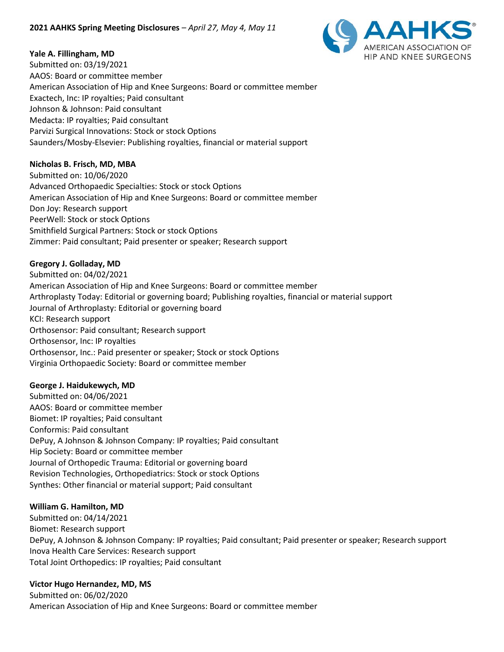

### **Yale A. Fillingham, MD**

Submitted on: 03/19/2021 AAOS: Board or committee member American Association of Hip and Knee Surgeons: Board or committee member Exactech, Inc: IP royalties; Paid consultant Johnson & Johnson: Paid consultant Medacta: IP royalties; Paid consultant Parvizi Surgical Innovations: Stock or stock Options Saunders/Mosby-Elsevier: Publishing royalties, financial or material support

### **Nicholas B. Frisch, MD, MBA**

Submitted on: 10/06/2020 Advanced Orthopaedic Specialties: Stock or stock Options American Association of Hip and Knee Surgeons: Board or committee member Don Joy: Research support PeerWell: Stock or stock Options Smithfield Surgical Partners: Stock or stock Options Zimmer: Paid consultant; Paid presenter or speaker; Research support

### **Gregory J. Golladay, MD**

Submitted on: 04/02/2021 American Association of Hip and Knee Surgeons: Board or committee member Arthroplasty Today: Editorial or governing board; Publishing royalties, financial or material support Journal of Arthroplasty: Editorial or governing board KCI: Research support Orthosensor: Paid consultant; Research support Orthosensor, Inc: IP royalties Orthosensor, Inc.: Paid presenter or speaker; Stock or stock Options Virginia Orthopaedic Society: Board or committee member

#### **George J. Haidukewych, MD**

Submitted on: 04/06/2021 AAOS: Board or committee member Biomet: IP royalties; Paid consultant Conformis: Paid consultant DePuy, A Johnson & Johnson Company: IP royalties; Paid consultant Hip Society: Board or committee member Journal of Orthopedic Trauma: Editorial or governing board Revision Technologies, Orthopediatrics: Stock or stock Options Synthes: Other financial or material support; Paid consultant

#### **William G. Hamilton, MD**

Submitted on: 04/14/2021 Biomet: Research support DePuy, A Johnson & Johnson Company: IP royalties; Paid consultant; Paid presenter or speaker; Research support Inova Health Care Services: Research support Total Joint Orthopedics: IP royalties; Paid consultant

# **Victor Hugo Hernandez, MD, MS**

Submitted on: 06/02/2020 American Association of Hip and Knee Surgeons: Board or committee member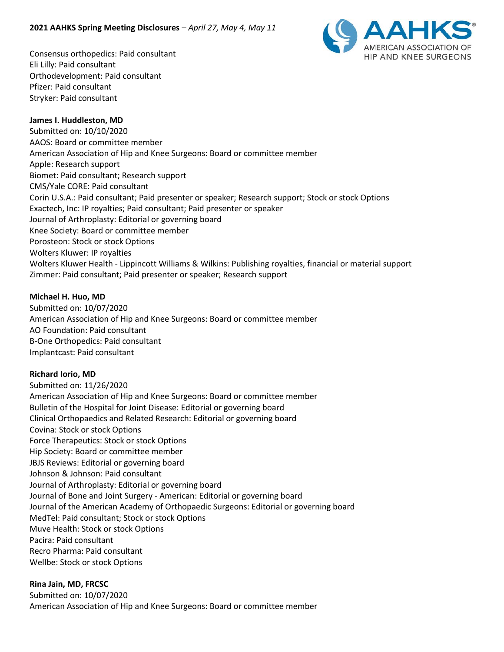

Consensus orthopedics: Paid consultant Eli Lilly: Paid consultant Orthodevelopment: Paid consultant Pfizer: Paid consultant Stryker: Paid consultant

#### **James I. Huddleston, MD**

Submitted on: 10/10/2020 AAOS: Board or committee member American Association of Hip and Knee Surgeons: Board or committee member Apple: Research support Biomet: Paid consultant; Research support CMS/Yale CORE: Paid consultant Corin U.S.A.: Paid consultant; Paid presenter or speaker; Research support; Stock or stock Options Exactech, Inc: IP royalties; Paid consultant; Paid presenter or speaker Journal of Arthroplasty: Editorial or governing board Knee Society: Board or committee member Porosteon: Stock or stock Options Wolters Kluwer: IP royalties Wolters Kluwer Health - Lippincott Williams & Wilkins: Publishing royalties, financial or material support Zimmer: Paid consultant; Paid presenter or speaker; Research support

#### **Michael H. Huo, MD**

Submitted on: 10/07/2020 American Association of Hip and Knee Surgeons: Board or committee member AO Foundation: Paid consultant B-One Orthopedics: Paid consultant Implantcast: Paid consultant

#### **Richard Iorio, MD**

Submitted on: 11/26/2020 American Association of Hip and Knee Surgeons: Board or committee member Bulletin of the Hospital for Joint Disease: Editorial or governing board Clinical Orthopaedics and Related Research: Editorial or governing board Covina: Stock or stock Options Force Therapeutics: Stock or stock Options Hip Society: Board or committee member JBJS Reviews: Editorial or governing board Johnson & Johnson: Paid consultant Journal of Arthroplasty: Editorial or governing board Journal of Bone and Joint Surgery - American: Editorial or governing board Journal of the American Academy of Orthopaedic Surgeons: Editorial or governing board MedTel: Paid consultant; Stock or stock Options Muve Health: Stock or stock Options Pacira: Paid consultant Recro Pharma: Paid consultant Wellbe: Stock or stock Options

#### **Rina Jain, MD, FRCSC**

Submitted on: 10/07/2020 American Association of Hip and Knee Surgeons: Board or committee member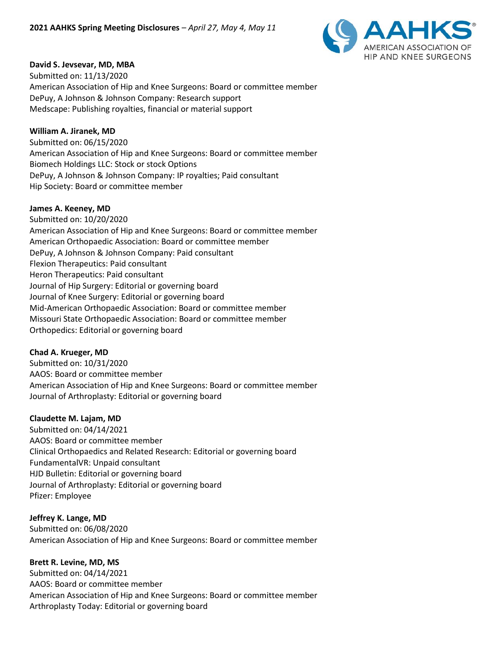

#### **David S. Jevsevar, MD, MBA**

Submitted on: 11/13/2020 American Association of Hip and Knee Surgeons: Board or committee member DePuy, A Johnson & Johnson Company: Research support Medscape: Publishing royalties, financial or material support

#### **William A. Jiranek, MD**

Submitted on: 06/15/2020 American Association of Hip and Knee Surgeons: Board or committee member Biomech Holdings LLC: Stock or stock Options DePuy, A Johnson & Johnson Company: IP royalties; Paid consultant Hip Society: Board or committee member

#### **James A. Keeney, MD**

Submitted on: 10/20/2020 American Association of Hip and Knee Surgeons: Board or committee member American Orthopaedic Association: Board or committee member DePuy, A Johnson & Johnson Company: Paid consultant Flexion Therapeutics: Paid consultant Heron Therapeutics: Paid consultant Journal of Hip Surgery: Editorial or governing board Journal of Knee Surgery: Editorial or governing board Mid-American Orthopaedic Association: Board or committee member Missouri State Orthopaedic Association: Board or committee member Orthopedics: Editorial or governing board

#### **Chad A. Krueger, MD**

Submitted on: 10/31/2020 AAOS: Board or committee member American Association of Hip and Knee Surgeons: Board or committee member Journal of Arthroplasty: Editorial or governing board

#### **Claudette M. Lajam, MD**

Submitted on: 04/14/2021 AAOS: Board or committee member Clinical Orthopaedics and Related Research: Editorial or governing board FundamentalVR: Unpaid consultant HJD Bulletin: Editorial or governing board Journal of Arthroplasty: Editorial or governing board Pfizer: Employee

#### **Jeffrey K. Lange, MD**

Submitted on: 06/08/2020 American Association of Hip and Knee Surgeons: Board or committee member

#### **Brett R. Levine, MD, MS**

Submitted on: 04/14/2021 AAOS: Board or committee member American Association of Hip and Knee Surgeons: Board or committee member Arthroplasty Today: Editorial or governing board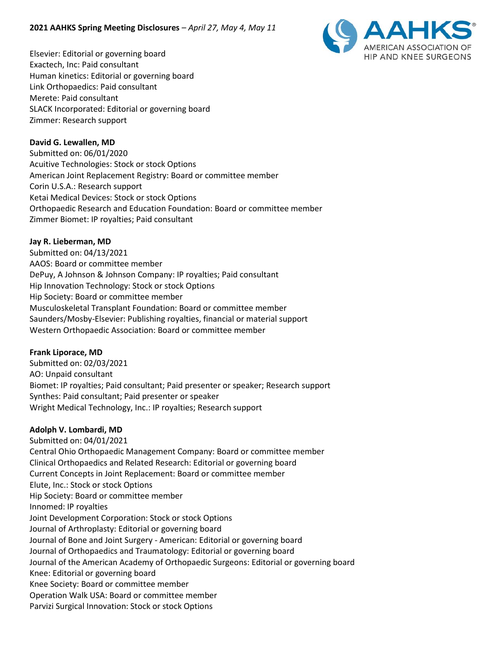

Elsevier: Editorial or governing board Exactech, Inc: Paid consultant Human kinetics: Editorial or governing board Link Orthopaedics: Paid consultant Merete: Paid consultant SLACK Incorporated: Editorial or governing board Zimmer: Research support

# **David G. Lewallen, MD**

Submitted on: 06/01/2020 Acuitive Technologies: Stock or stock Options American Joint Replacement Registry: Board or committee member Corin U.S.A.: Research support Ketai Medical Devices: Stock or stock Options Orthopaedic Research and Education Foundation: Board or committee member Zimmer Biomet: IP royalties; Paid consultant

# **Jay R. Lieberman, MD**

Submitted on: 04/13/2021 AAOS: Board or committee member DePuy, A Johnson & Johnson Company: IP royalties; Paid consultant Hip Innovation Technology: Stock or stock Options Hip Society: Board or committee member Musculoskeletal Transplant Foundation: Board or committee member Saunders/Mosby-Elsevier: Publishing royalties, financial or material support Western Orthopaedic Association: Board or committee member

# **Frank Liporace, MD**

Submitted on: 02/03/2021 AO: Unpaid consultant Biomet: IP royalties; Paid consultant; Paid presenter or speaker; Research support Synthes: Paid consultant; Paid presenter or speaker Wright Medical Technology, Inc.: IP royalties; Research support

#### **Adolph V. Lombardi, MD**

Submitted on: 04/01/2021 Central Ohio Orthopaedic Management Company: Board or committee member Clinical Orthopaedics and Related Research: Editorial or governing board Current Concepts in Joint Replacement: Board or committee member Elute, Inc.: Stock or stock Options Hip Society: Board or committee member Innomed: IP royalties Joint Development Corporation: Stock or stock Options Journal of Arthroplasty: Editorial or governing board Journal of Bone and Joint Surgery - American: Editorial or governing board Journal of Orthopaedics and Traumatology: Editorial or governing board Journal of the American Academy of Orthopaedic Surgeons: Editorial or governing board Knee: Editorial or governing board Knee Society: Board or committee member Operation Walk USA: Board or committee member Parvizi Surgical Innovation: Stock or stock Options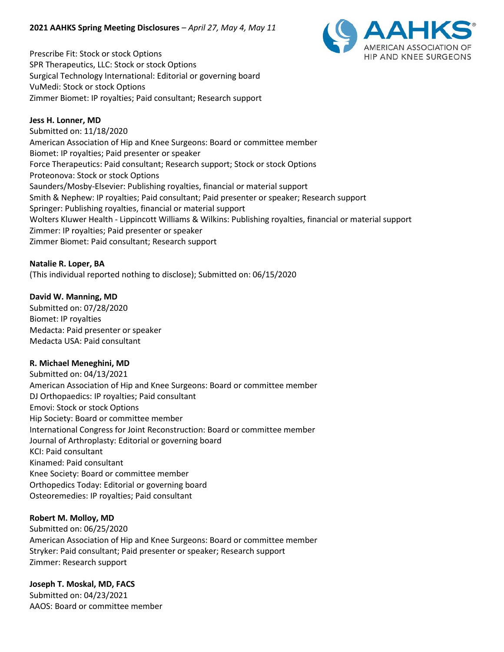

Prescribe Fit: Stock or stock Options SPR Therapeutics, LLC: Stock or stock Options Surgical Technology International: Editorial or governing board VuMedi: Stock or stock Options Zimmer Biomet: IP royalties; Paid consultant; Research support

#### **Jess H. Lonner, MD**

Submitted on: 11/18/2020 American Association of Hip and Knee Surgeons: Board or committee member Biomet: IP royalties; Paid presenter or speaker Force Therapeutics: Paid consultant; Research support; Stock or stock Options Proteonova: Stock or stock Options Saunders/Mosby-Elsevier: Publishing royalties, financial or material support Smith & Nephew: IP royalties; Paid consultant; Paid presenter or speaker; Research support Springer: Publishing royalties, financial or material support Wolters Kluwer Health - Lippincott Williams & Wilkins: Publishing royalties, financial or material support Zimmer: IP royalties; Paid presenter or speaker Zimmer Biomet: Paid consultant; Research support

**Natalie R. Loper, BA** (This individual reported nothing to disclose); Submitted on: 06/15/2020

#### **David W. Manning, MD**

Submitted on: 07/28/2020 Biomet: IP royalties Medacta: Paid presenter or speaker Medacta USA: Paid consultant

#### **R. Michael Meneghini, MD**

Submitted on: 04/13/2021 American Association of Hip and Knee Surgeons: Board or committee member DJ Orthopaedics: IP royalties; Paid consultant Emovi: Stock or stock Options Hip Society: Board or committee member International Congress for Joint Reconstruction: Board or committee member Journal of Arthroplasty: Editorial or governing board KCI: Paid consultant Kinamed: Paid consultant Knee Society: Board or committee member Orthopedics Today: Editorial or governing board Osteoremedies: IP royalties; Paid consultant

#### **Robert M. Molloy, MD**

Submitted on: 06/25/2020 American Association of Hip and Knee Surgeons: Board or committee member Stryker: Paid consultant; Paid presenter or speaker; Research support Zimmer: Research support

# **Joseph T. Moskal, MD, FACS**

Submitted on: 04/23/2021 AAOS: Board or committee member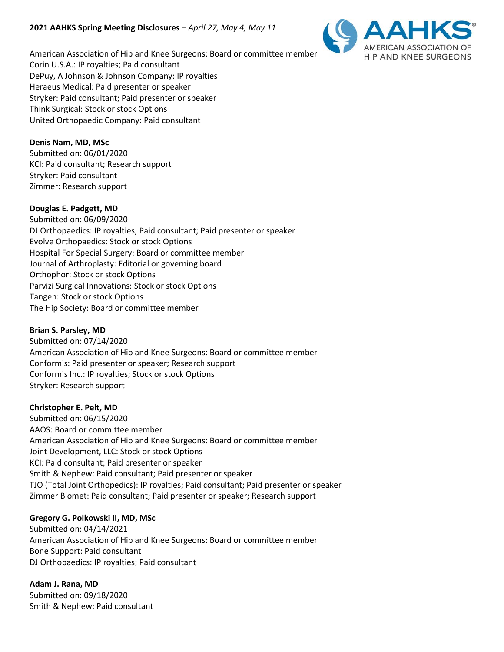

American Association of Hip and Knee Surgeons: Board or committee member Corin U.S.A.: IP royalties; Paid consultant DePuy, A Johnson & Johnson Company: IP royalties Heraeus Medical: Paid presenter or speaker Stryker: Paid consultant; Paid presenter or speaker Think Surgical: Stock or stock Options United Orthopaedic Company: Paid consultant

### **Denis Nam, MD, MSc**

Submitted on: 06/01/2020 KCI: Paid consultant; Research support Stryker: Paid consultant Zimmer: Research support

#### **Douglas E. Padgett, MD**

Submitted on: 06/09/2020 DJ Orthopaedics: IP royalties; Paid consultant; Paid presenter or speaker Evolve Orthopaedics: Stock or stock Options Hospital For Special Surgery: Board or committee member Journal of Arthroplasty: Editorial or governing board Orthophor: Stock or stock Options Parvizi Surgical Innovations: Stock or stock Options Tangen: Stock or stock Options The Hip Society: Board or committee member

#### **Brian S. Parsley, MD**

Submitted on: 07/14/2020 American Association of Hip and Knee Surgeons: Board or committee member Conformis: Paid presenter or speaker; Research support Conformis Inc.: IP royalties; Stock or stock Options Stryker: Research support

#### **Christopher E. Pelt, MD**

Submitted on: 06/15/2020 AAOS: Board or committee member American Association of Hip and Knee Surgeons: Board or committee member Joint Development, LLC: Stock or stock Options KCI: Paid consultant; Paid presenter or speaker Smith & Nephew: Paid consultant; Paid presenter or speaker TJO (Total Joint Orthopedics): IP royalties; Paid consultant; Paid presenter or speaker Zimmer Biomet: Paid consultant; Paid presenter or speaker; Research support

#### **Gregory G. Polkowski II, MD, MSc**

Submitted on: 04/14/2021 American Association of Hip and Knee Surgeons: Board or committee member Bone Support: Paid consultant DJ Orthopaedics: IP royalties; Paid consultant

**Adam J. Rana, MD** Submitted on: 09/18/2020 Smith & Nephew: Paid consultant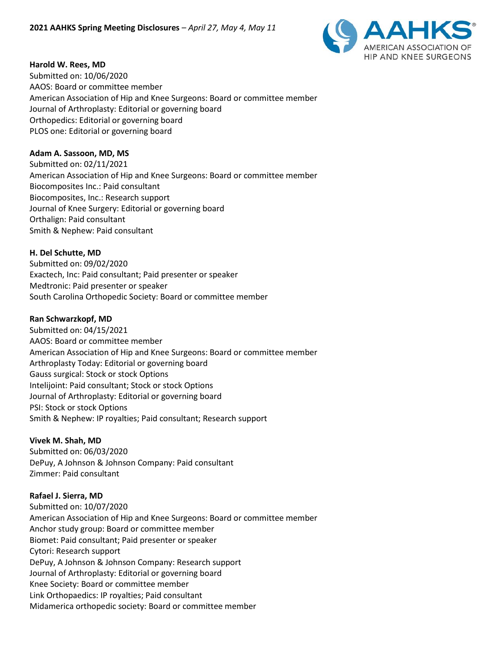

#### **Harold W. Rees, MD**

Submitted on: 10/06/2020 AAOS: Board or committee member American Association of Hip and Knee Surgeons: Board or committee member Journal of Arthroplasty: Editorial or governing board Orthopedics: Editorial or governing board PLOS one: Editorial or governing board

#### **Adam A. Sassoon, MD, MS**

Submitted on: 02/11/2021 American Association of Hip and Knee Surgeons: Board or committee member Biocomposites Inc.: Paid consultant Biocomposites, Inc.: Research support Journal of Knee Surgery: Editorial or governing board Orthalign: Paid consultant Smith & Nephew: Paid consultant

#### **H. Del Schutte, MD**

Submitted on: 09/02/2020 Exactech, Inc: Paid consultant; Paid presenter or speaker Medtronic: Paid presenter or speaker South Carolina Orthopedic Society: Board or committee member

#### **Ran Schwarzkopf, MD**

Submitted on: 04/15/2021 AAOS: Board or committee member American Association of Hip and Knee Surgeons: Board or committee member Arthroplasty Today: Editorial or governing board Gauss surgical: Stock or stock Options Intelijoint: Paid consultant; Stock or stock Options Journal of Arthroplasty: Editorial or governing board PSI: Stock or stock Options Smith & Nephew: IP royalties; Paid consultant; Research support

#### **Vivek M. Shah, MD**

Submitted on: 06/03/2020 DePuy, A Johnson & Johnson Company: Paid consultant Zimmer: Paid consultant

#### **Rafael J. Sierra, MD**

Submitted on: 10/07/2020 American Association of Hip and Knee Surgeons: Board or committee member Anchor study group: Board or committee member Biomet: Paid consultant; Paid presenter or speaker Cytori: Research support DePuy, A Johnson & Johnson Company: Research support Journal of Arthroplasty: Editorial or governing board Knee Society: Board or committee member Link Orthopaedics: IP royalties; Paid consultant Midamerica orthopedic society: Board or committee member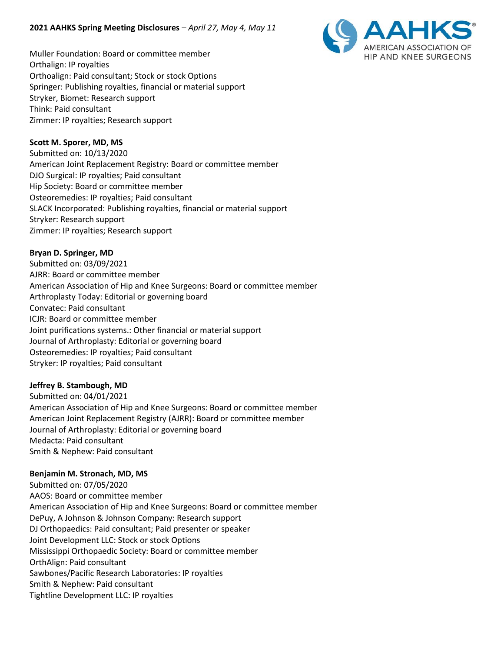

Muller Foundation: Board or committee member Orthalign: IP royalties Orthoalign: Paid consultant; Stock or stock Options Springer: Publishing royalties, financial or material support Stryker, Biomet: Research support Think: Paid consultant Zimmer: IP royalties; Research support

### **Scott M. Sporer, MD, MS**

Submitted on: 10/13/2020 American Joint Replacement Registry: Board or committee member DJO Surgical: IP royalties; Paid consultant Hip Society: Board or committee member Osteoremedies: IP royalties; Paid consultant SLACK Incorporated: Publishing royalties, financial or material support Stryker: Research support Zimmer: IP royalties; Research support

#### **Bryan D. Springer, MD**

Submitted on: 03/09/2021 AJRR: Board or committee member American Association of Hip and Knee Surgeons: Board or committee member Arthroplasty Today: Editorial or governing board Convatec: Paid consultant ICJR: Board or committee member Joint purifications systems.: Other financial or material support Journal of Arthroplasty: Editorial or governing board Osteoremedies: IP royalties; Paid consultant Stryker: IP royalties; Paid consultant

#### **Jeffrey B. Stambough, MD**

Submitted on: 04/01/2021 American Association of Hip and Knee Surgeons: Board or committee member American Joint Replacement Registry (AJRR): Board or committee member Journal of Arthroplasty: Editorial or governing board Medacta: Paid consultant Smith & Nephew: Paid consultant

#### **Benjamin M. Stronach, MD, MS**

Submitted on: 07/05/2020 AAOS: Board or committee member American Association of Hip and Knee Surgeons: Board or committee member DePuy, A Johnson & Johnson Company: Research support DJ Orthopaedics: Paid consultant; Paid presenter or speaker Joint Development LLC: Stock or stock Options Mississippi Orthopaedic Society: Board or committee member OrthAlign: Paid consultant Sawbones/Pacific Research Laboratories: IP royalties Smith & Nephew: Paid consultant Tightline Development LLC: IP royalties